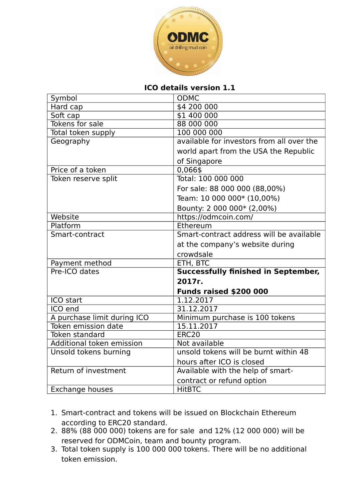

## **ICO details version 1.1**

| Symbol                      | <b>ODMC</b>                                |
|-----------------------------|--------------------------------------------|
| Hard cap                    | \$4 200 000                                |
| Soft cap                    | \$1 400 000                                |
| Tokens for sale             | 88 000 000                                 |
| Total token supply          | 100 000 000                                |
| Geography                   | available for investors from all over the  |
|                             | world apart from the USA the Republic      |
|                             | of Singapore                               |
| Price of a token            | 0,066\$                                    |
| Token reserve split         | Total: 100 000 000                         |
|                             | For sale: 88 000 000 (88,00%)              |
|                             | Team: 10 000 000* (10,00%)                 |
|                             | Bounty: 2 000 000* (2,00%)                 |
| Website                     | https://odmcoin.com/                       |
| Platform                    | Ethereum                                   |
| Smart-contract              | Smart-contract address will be available   |
|                             | at the company's website during            |
|                             | crowdsale                                  |
| Payment method              | ETH, BTC                                   |
| Pre-ICO dates               | <b>Successfully finished in September,</b> |
|                             | 2017г.                                     |
|                             | <b>Funds raised \$200 000</b>              |
| ICO start                   | 1.12.2017                                  |
| ICO end                     | 31.12.2017                                 |
| A purchase limit during ICO | Minimum purchase is 100 tokens             |
| Token emission date         | 15.11.2017                                 |
| Token standard              | <b>ERC20</b>                               |
| Additional token emission   | Not available                              |
| Unsold tokens burning       | unsold tokens will be burnt within 48      |
|                             | hours after ICO is closed                  |
| Return of investment        | Available with the help of smart-          |
|                             | contract or refund option                  |
| Exchange houses             | <b>HitBTC</b>                              |

- 1. Smart-contract and tokens will be issued on Blockchain Ethereum according to ERC20 standard.
- 2. 88% (88 000 000) tokens are for sale and 12% (12 000 000) will be reserved for ODMCoin, team and bounty program.
- 3. Total token supply is 100 000 000 tokens. There will be no additional token emission.